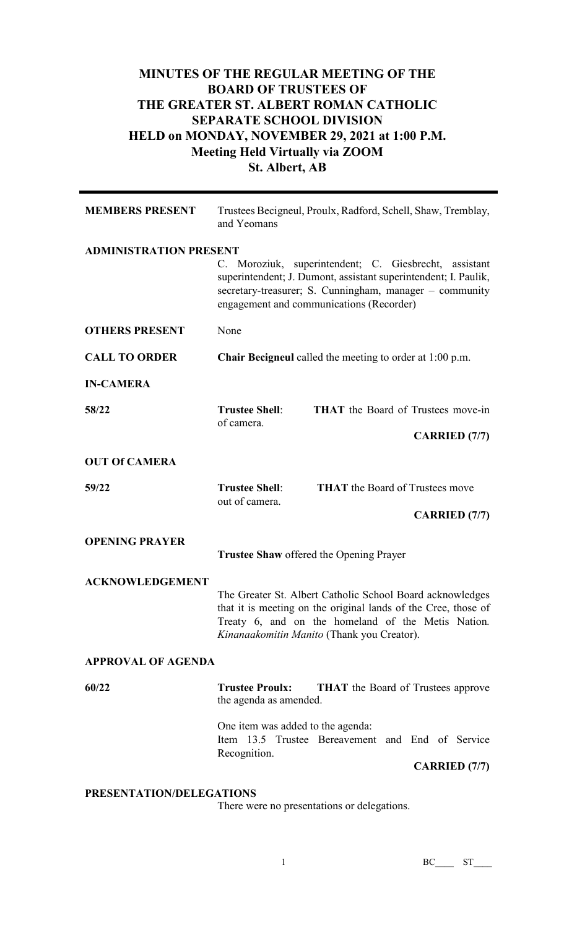## **MINUTES OF THE REGULAR MEETING OF THE BOARD OF TRUSTEES OF THE GREATER ST. ALBERT ROMAN CATHOLIC SEPARATE SCHOOL DIVISION HELD on MONDAY, NOVEMBER 29, 2021 at 1:00 P.M. Meeting Held Virtually via ZOOM St. Albert, AB**

| <b>MEMBERS PRESENT</b>        | Trustees Becigneul, Proulx, Radford, Schell, Shaw, Tremblay,<br>and Yeomans                                                                                                                                                     |  |
|-------------------------------|---------------------------------------------------------------------------------------------------------------------------------------------------------------------------------------------------------------------------------|--|
| <b>ADMINISTRATION PRESENT</b> | C. Moroziuk, superintendent; C. Giesbrecht, assistant<br>superintendent; J. Dumont, assistant superintendent; I. Paulik,<br>secretary-treasurer; S. Cunningham, manager - community<br>engagement and communications (Recorder) |  |
| <b>OTHERS PRESENT</b>         | None                                                                                                                                                                                                                            |  |
| <b>CALL TO ORDER</b>          | <b>Chair Becigneul</b> called the meeting to order at 1:00 p.m.                                                                                                                                                                 |  |
| <b>IN-CAMERA</b>              |                                                                                                                                                                                                                                 |  |
| 58/22                         | <b>Trustee Shell:</b><br><b>THAT</b> the Board of Trustees move-in<br>of camera.<br><b>CARRIED</b> (7/7)                                                                                                                        |  |
| <b>OUT Of CAMERA</b>          |                                                                                                                                                                                                                                 |  |
| 59/22                         | <b>THAT</b> the Board of Trustees move<br><b>Trustee Shell:</b><br>out of camera.                                                                                                                                               |  |
|                               | <b>CARRIED</b> (7/7)                                                                                                                                                                                                            |  |
| <b>OPENING PRAYER</b>         | <b>Trustee Shaw offered the Opening Prayer</b>                                                                                                                                                                                  |  |
| <b>ACKNOWLEDGEMENT</b>        | The Greater St. Albert Catholic School Board acknowledges<br>that it is meeting on the original lands of the Cree, those of<br>Treaty 6, and on the homeland of the Metis Nation.<br>Kinanaakomitin Manito (Thank you Creator). |  |
| <b>APPROVAL OF AGENDA</b>     |                                                                                                                                                                                                                                 |  |
| 60/22                         | <b>Trustee Proulx:</b><br><b>THAT</b> the Board of Trustees approve<br>the agenda as amended.                                                                                                                                   |  |
|                               | One item was added to the agenda:<br>Item 13.5 Trustee Bereavement and End of Service<br>Recognition.<br><b>CARRIED</b> (7/7)                                                                                                   |  |

## **PRESENTATION/DELEGATIONS**

There were no presentations or delegations.

1 BC\_\_\_ ST\_\_\_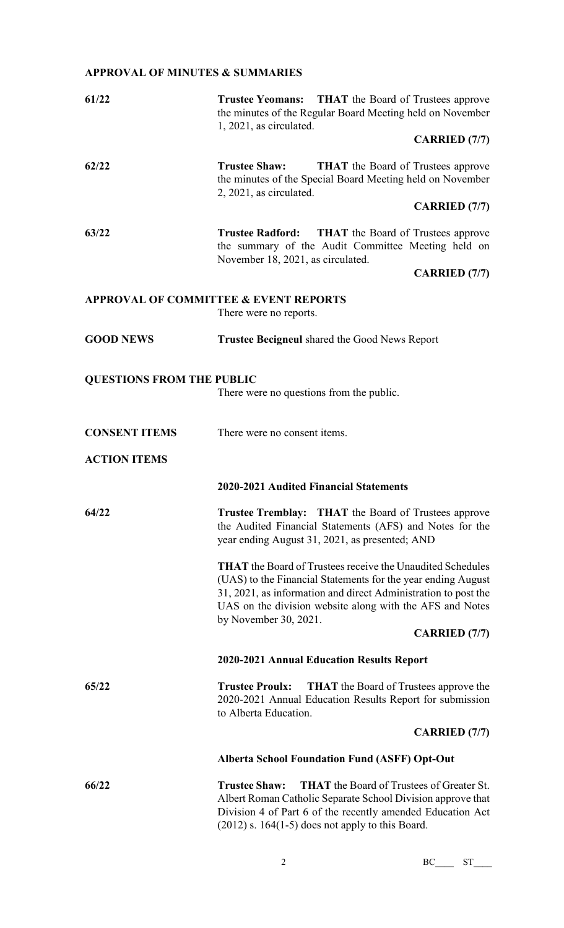## **APPROVAL OF MINUTES & SUMMARIES**

| 61/22                            | Trustee Yeomans: THAT the Board of Trustees approve<br>the minutes of the Regular Board Meeting held on November<br>1, 2021, as circulated.                                                                                                                                              |
|----------------------------------|------------------------------------------------------------------------------------------------------------------------------------------------------------------------------------------------------------------------------------------------------------------------------------------|
|                                  | <b>CARRIED</b> (7/7)                                                                                                                                                                                                                                                                     |
| 62/22                            | <b>Trustee Shaw:</b><br><b>THAT</b> the Board of Trustees approve<br>the minutes of the Special Board Meeting held on November<br>2, 2021, as circulated.                                                                                                                                |
|                                  | <b>CARRIED</b> (7/7)                                                                                                                                                                                                                                                                     |
| 63/22                            | <b>Trustee Radford:</b><br><b>THAT</b> the Board of Trustees approve<br>the summary of the Audit Committee Meeting held on<br>November 18, 2021, as circulated.                                                                                                                          |
|                                  | <b>CARRIED</b> (7/7)                                                                                                                                                                                                                                                                     |
|                                  | <b>APPROVAL OF COMMITTEE &amp; EVENT REPORTS</b><br>There were no reports.                                                                                                                                                                                                               |
| <b>GOOD NEWS</b>                 | <b>Trustee Becigneul shared the Good News Report</b>                                                                                                                                                                                                                                     |
| <b>QUESTIONS FROM THE PUBLIC</b> | There were no questions from the public.                                                                                                                                                                                                                                                 |
| <b>CONSENT ITEMS</b>             | There were no consent items.                                                                                                                                                                                                                                                             |
| <b>ACTION ITEMS</b>              |                                                                                                                                                                                                                                                                                          |
|                                  | 2020-2021 Audited Financial Statements                                                                                                                                                                                                                                                   |
| 64/22                            | <b>Trustee Tremblay:</b> THAT the Board of Trustees approve<br>the Audited Financial Statements (AFS) and Notes for the<br>year ending August 31, 2021, as presented; AND                                                                                                                |
|                                  | <b>THAT</b> the Board of Trustees receive the Unaudited Schedules<br>(UAS) to the Financial Statements for the year ending August<br>31, 2021, as information and direct Administration to post the<br>UAS on the division website along with the AFS and Notes<br>by November 30, 2021. |
|                                  | <b>CARRIED</b> (7/7)                                                                                                                                                                                                                                                                     |
|                                  | 2020-2021 Annual Education Results Report                                                                                                                                                                                                                                                |
| 65/22                            | <b>Trustee Proulx:</b><br><b>THAT</b> the Board of Trustees approve the<br>2020-2021 Annual Education Results Report for submission<br>to Alberta Education.                                                                                                                             |
|                                  | <b>CARRIED</b> (7/7)                                                                                                                                                                                                                                                                     |
|                                  | <b>Alberta School Foundation Fund (ASFF) Opt-Out</b>                                                                                                                                                                                                                                     |
| 66/22                            | <b>THAT</b> the Board of Trustees of Greater St.<br><b>Trustee Shaw:</b><br>Albert Roman Catholic Separate School Division approve that<br>Division 4 of Part 6 of the recently amended Education Act<br>$(2012)$ s. 164(1-5) does not apply to this Board.                              |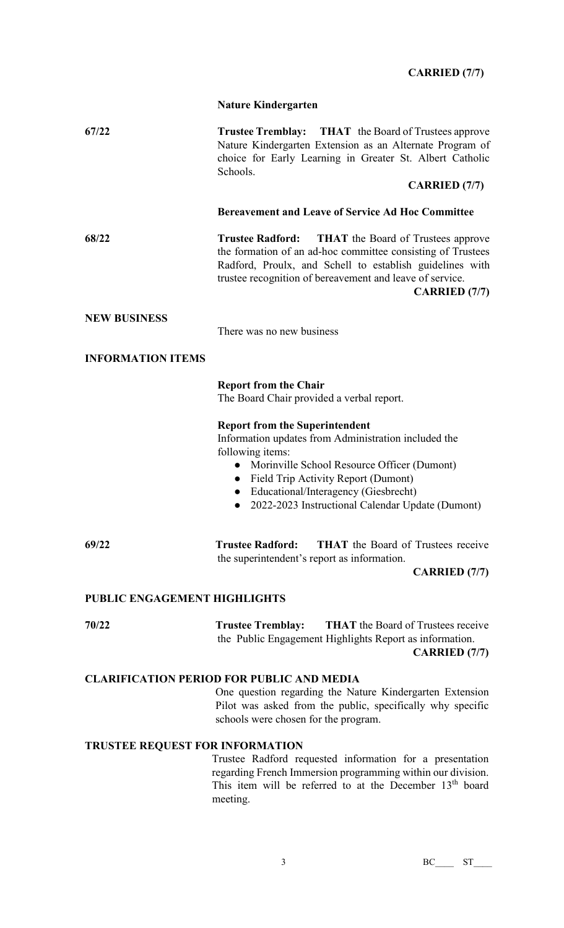## **CARRIED (7/7)**

|                                                  | <b>Nature Kindergarten</b>                                                                                                                                                                                                                                                                                                                 |  |
|--------------------------------------------------|--------------------------------------------------------------------------------------------------------------------------------------------------------------------------------------------------------------------------------------------------------------------------------------------------------------------------------------------|--|
| 67/22                                            | Trustee Tremblay: THAT the Board of Trustees approve<br>Nature Kindergarten Extension as an Alternate Program of<br>choice for Early Learning in Greater St. Albert Catholic<br>Schools.                                                                                                                                                   |  |
|                                                  | <b>CARRIED</b> (7/7)                                                                                                                                                                                                                                                                                                                       |  |
|                                                  | <b>Bereavement and Leave of Service Ad Hoc Committee</b>                                                                                                                                                                                                                                                                                   |  |
| 68/22                                            | <b>Trustee Radford:</b><br><b>THAT</b> the Board of Trustees approve<br>the formation of an ad-hoc committee consisting of Trustees<br>Radford, Proulx, and Schell to establish guidelines with<br>trustee recognition of bereavement and leave of service.<br><b>CARRIED</b> (7/7)                                                        |  |
| <b>NEW BUSINESS</b>                              | There was no new business                                                                                                                                                                                                                                                                                                                  |  |
| <b>INFORMATION ITEMS</b>                         |                                                                                                                                                                                                                                                                                                                                            |  |
|                                                  | <b>Report from the Chair</b><br>The Board Chair provided a verbal report.                                                                                                                                                                                                                                                                  |  |
|                                                  | <b>Report from the Superintendent</b><br>Information updates from Administration included the<br>following items:<br>Morinville School Resource Officer (Dumont)<br>$\bullet$<br>Field Trip Activity Report (Dumont)<br>$\bullet$<br>Educational/Interagency (Giesbrecht)<br>2022-2023 Instructional Calendar Update (Dumont)<br>$\bullet$ |  |
| 69/22                                            | <b>THAT</b> the Board of Trustees receive<br><b>Trustee Radford:</b><br>the superintendent's report as information.                                                                                                                                                                                                                        |  |
|                                                  | <b>CARRIED</b> (7/7)                                                                                                                                                                                                                                                                                                                       |  |
| PUBLIC ENGAGEMENT HIGHLIGHTS                     |                                                                                                                                                                                                                                                                                                                                            |  |
| 70/22                                            | <b>THAT</b> the Board of Trustees receive<br><b>Trustee Tremblay:</b><br>the Public Engagement Highlights Report as information.<br><b>CARRIED</b> (7/7)                                                                                                                                                                                   |  |
| <b>CLARIFICATION PERIOD FOR PUBLIC AND MEDIA</b> |                                                                                                                                                                                                                                                                                                                                            |  |
|                                                  | One question regarding the Nature Kindergarten Extension<br>Pilot was asked from the public, specifically why specific<br>schools were chosen for the program.                                                                                                                                                                             |  |
| <b>TRUSTEE REQUEST FOR INFORMATION</b>           |                                                                                                                                                                                                                                                                                                                                            |  |
|                                                  | Trustee Radford requested information for a presentation<br>regarding French Immersion programming within our division.<br>This item will be referred to at the December 13 <sup>th</sup> board                                                                                                                                            |  |

meeting.